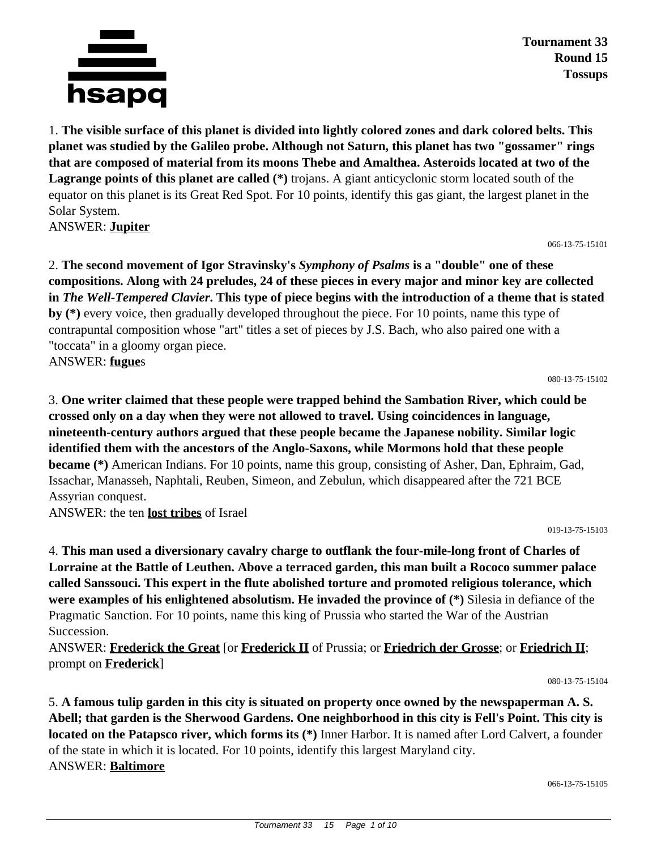

**Tournament 33 Round 15 Tossups**

1. **The visible surface of this planet is divided into lightly colored zones and dark colored belts. This planet was studied by the Galileo probe. Although not Saturn, this planet has two "gossamer" rings that are composed of material from its moons Thebe and Amalthea. Asteroids located at two of the Lagrange points of this planet are called (\*)** trojans. A giant anticyclonic storm located south of the equator on this planet is its Great Red Spot. For 10 points, identify this gas giant, the largest planet in the Solar System.

ANSWER: **Jupiter**

066-13-75-15101

2. **The second movement of Igor Stravinsky's** *Symphony of Psalms* **is a "double" one of these compositions. Along with 24 preludes, 24 of these pieces in every major and minor key are collected in** *The Well-Tempered Clavier***. This type of piece begins with the introduction of a theme that is stated by (\*)** every voice, then gradually developed throughout the piece. For 10 points, name this type of contrapuntal composition whose "art" titles a set of pieces by J.S. Bach, who also paired one with a "toccata" in a gloomy organ piece.

ANSWER: **fugue**s

080-13-75-15102

3. **One writer claimed that these people were trapped behind the Sambation River, which could be crossed only on a day when they were not allowed to travel. Using coincidences in language, nineteenth-century authors argued that these people became the Japanese nobility. Similar logic identified them with the ancestors of the Anglo-Saxons, while Mormons hold that these people became (\*)** American Indians. For 10 points, name this group, consisting of Asher, Dan, Ephraim, Gad, Issachar, Manasseh, Naphtali, Reuben, Simeon, and Zebulun, which disappeared after the 721 BCE Assyrian conquest.

ANSWER: the ten **lost tribes** of Israel

019-13-75-15103

4. **This man used a diversionary cavalry charge to outflank the four-mile-long front of Charles of Lorraine at the Battle of Leuthen. Above a terraced garden, this man built a Rococo summer palace called Sanssouci. This expert in the flute abolished torture and promoted religious tolerance, which were examples of his enlightened absolutism. He invaded the province of (\*)** Silesia in defiance of the Pragmatic Sanction. For 10 points, name this king of Prussia who started the War of the Austrian Succession.

ANSWER: **Frederick the Great** [or **Frederick II** of Prussia; or **Friedrich der Grosse**; or **Friedrich II**; prompt on **Frederick**]

080-13-75-15104

5. **A famous tulip garden in this city is situated on property once owned by the newspaperman A. S. Abell; that garden is the Sherwood Gardens. One neighborhood in this city is Fell's Point. This city is located on the Patapsco river, which forms its (\*)** Inner Harbor. It is named after Lord Calvert, a founder of the state in which it is located. For 10 points, identify this largest Maryland city. ANSWER: **Baltimore**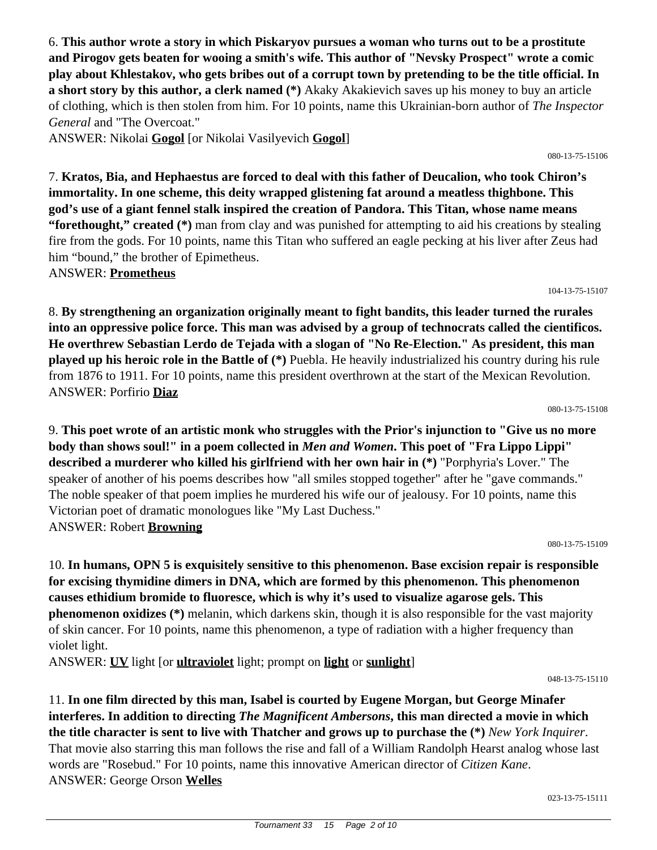6. **This author wrote a story in which Piskaryov pursues a woman who turns out to be a prostitute and Pirogov gets beaten for wooing a smith's wife. This author of "Nevsky Prospect" wrote a comic play about Khlestakov, who gets bribes out of a corrupt town by pretending to be the title official. In a short story by this author, a clerk named (\*)** Akaky Akakievich saves up his money to buy an article of clothing, which is then stolen from him. For 10 points, name this Ukrainian-born author of *The Inspector General* and "The Overcoat."

ANSWER: Nikolai **Gogol** [or Nikolai Vasilyevich **Gogol**]

7. **Kratos, Bia, and Hephaestus are forced to deal with this father of Deucalion, who took Chiron's immortality. In one scheme, this deity wrapped glistening fat around a meatless thighbone. This god's use of a giant fennel stalk inspired the creation of Pandora. This Titan, whose name means "forethought," created (\*)** man from clay and was punished for attempting to aid his creations by stealing fire from the gods. For 10 points, name this Titan who suffered an eagle pecking at his liver after Zeus had him "bound," the brother of Epimetheus.

ANSWER: **Prometheus**

8. **By strengthening an organization originally meant to fight bandits, this leader turned the rurales into an oppressive police force. This man was advised by a group of technocrats called the cientificos. He overthrew Sebastian Lerdo de Tejada with a slogan of "No Re-Election." As president, this man played up his heroic role in the Battle of (\*)** Puebla. He heavily industrialized his country during his rule from 1876 to 1911. For 10 points, name this president overthrown at the start of the Mexican Revolution. ANSWER: Porfirio **Diaz**

080-13-75-15108

104-13-75-15107

9. **This poet wrote of an artistic monk who struggles with the Prior's injunction to "Give us no more body than shows soul!" in a poem collected in** *Men and Women***. This poet of "Fra Lippo Lippi" described a murderer who killed his girlfriend with her own hair in (\*)** "Porphyria's Lover." The speaker of another of his poems describes how "all smiles stopped together" after he "gave commands." The noble speaker of that poem implies he murdered his wife our of jealousy. For 10 points, name this Victorian poet of dramatic monologues like "My Last Duchess." ANSWER: Robert **Browning**

080-13-75-15109

10. **In humans, OPN 5 is exquisitely sensitive to this phenomenon. Base excision repair is responsible for excising thymidine dimers in DNA, which are formed by this phenomenon. This phenomenon causes ethidium bromide to fluoresce, which is why it's used to visualize agarose gels. This phenomenon oxidizes (\*)** melanin, which darkens skin, though it is also responsible for the vast majority of skin cancer. For 10 points, name this phenomenon, a type of radiation with a higher frequency than violet light.

ANSWER: **UV** light [or **ultraviolet** light; prompt on **light** or **sunlight**]

048-13-75-15110

11. **In one film directed by this man, Isabel is courted by Eugene Morgan, but George Minafer interferes. In addition to directing** *The Magnificent Ambersons***, this man directed a movie in which the title character is sent to live with Thatcher and grows up to purchase the (\*)** *New York Inquirer*. That movie also starring this man follows the rise and fall of a William Randolph Hearst analog whose last words are "Rosebud." For 10 points, name this innovative American director of *Citizen Kane*. ANSWER: George Orson **Welles**

080-13-75-15106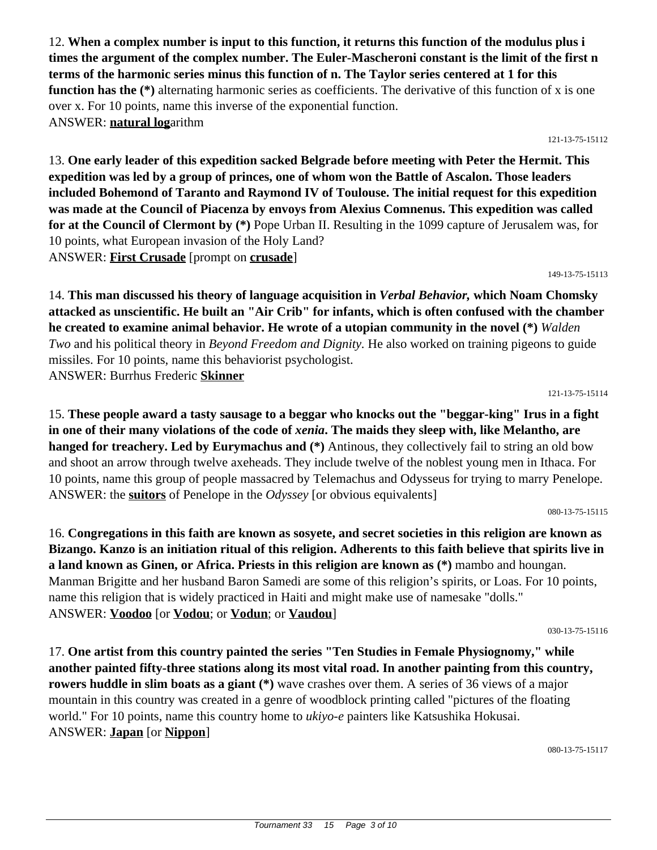12. **When a complex number is input to this function, it returns this function of the modulus plus i times the argument of the complex number. The Euler-Mascheroni constant is the limit of the first n terms of the harmonic series minus this function of n. The Taylor series centered at 1 for this function has the (\*)** alternating harmonic series as coefficients. The derivative of this function of x is one over x. For 10 points, name this inverse of the exponential function. ANSWER: **natural log**arithm

121-13-75-15112

13. **One early leader of this expedition sacked Belgrade before meeting with Peter the Hermit. This expedition was led by a group of princes, one of whom won the Battle of Ascalon. Those leaders included Bohemond of Taranto and Raymond IV of Toulouse. The initial request for this expedition was made at the Council of Piacenza by envoys from Alexius Comnenus. This expedition was called for at the Council of Clermont by (\*)** Pope Urban II. Resulting in the 1099 capture of Jerusalem was, for 10 points, what European invasion of the Holy Land? ANSWER: **First Crusade** [prompt on **crusade**]

149-13-75-15113

14. **This man discussed his theory of language acquisition in** *Verbal Behavior,* **which Noam Chomsky attacked as unscientific. He built an "Air Crib" for infants, which is often confused with the chamber he created to examine animal behavior. He wrote of a utopian community in the novel (\*)** *Walden Two* and his political theory in *Beyond Freedom and Dignity.* He also worked on training pigeons to guide missiles. For 10 points, name this behaviorist psychologist. ANSWER: Burrhus Frederic **Skinner**

121-13-75-15114

15. **These people award a tasty sausage to a beggar who knocks out the "beggar-king" Irus in a fight in one of their many violations of the code of** *xenia***. The maids they sleep with, like Melantho, are hanged for treachery. Led by Eurymachus and (\*)** Antinous, they collectively fail to string an old bow and shoot an arrow through twelve axeheads. They include twelve of the noblest young men in Ithaca. For 10 points, name this group of people massacred by Telemachus and Odysseus for trying to marry Penelope. ANSWER: the **suitors** of Penelope in the *Odyssey* [or obvious equivalents]

080-13-75-15115

16. **Congregations in this faith are known as sosyete, and secret societies in this religion are known as Bizango. Kanzo is an initiation ritual of this religion. Adherents to this faith believe that spirits live in a land known as Ginen, or Africa. Priests in this religion are known as (\*)** mambo and houngan. Manman Brigitte and her husband Baron Samedi are some of this religion's spirits, or Loas. For 10 points, name this religion that is widely practiced in Haiti and might make use of namesake "dolls." ANSWER: **Voodoo** [or **Vodou**; or **Vodun**; or **Vaudou**]

030-13-75-15116

17. **One artist from this country painted the series "Ten Studies in Female Physiognomy," while another painted fifty-three stations along its most vital road. In another painting from this country, rowers huddle in slim boats as a giant (\*)** wave crashes over them. A series of 36 views of a major mountain in this country was created in a genre of woodblock printing called "pictures of the floating world." For 10 points, name this country home to *ukiyo-e* painters like Katsushika Hokusai. ANSWER: **Japan** [or **Nippon**]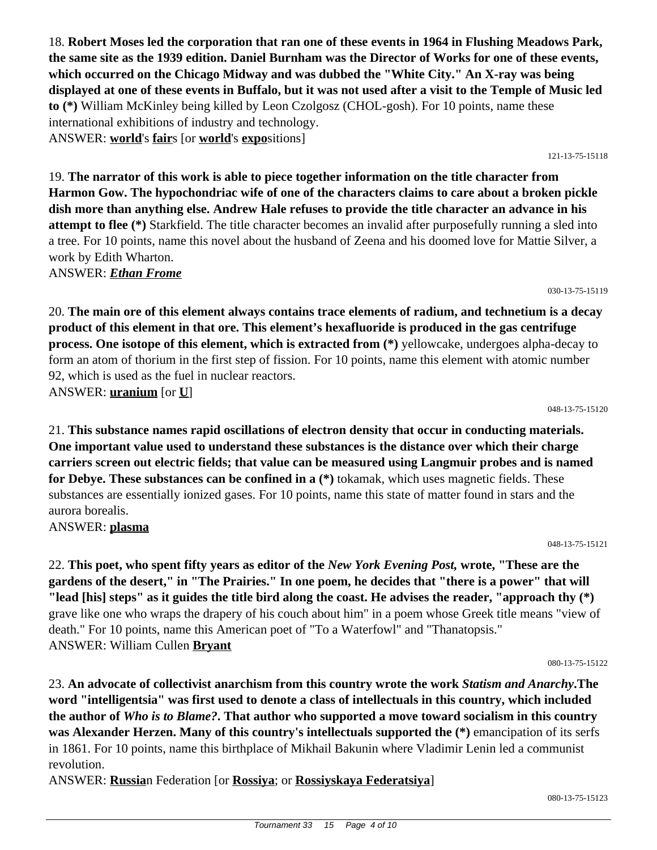18. **Robert Moses led the corporation that ran one of these events in 1964 in Flushing Meadows Park, the same site as the 1939 edition. Daniel Burnham was the Director of Works for one of these events, which occurred on the Chicago Midway and was dubbed the "White City." An X-ray was being displayed at one of these events in Buffalo, but it was not used after a visit to the Temple of Music led to (\*)** William McKinley being killed by Leon Czolgosz (CHOL-gosh). For 10 points, name these international exhibitions of industry and technology. ANSWER: **world**'s **fair**s [or **world**'s **expo**sitions]

121-13-75-15118

19. **The narrator of this work is able to piece together information on the title character from Harmon Gow. The hypochondriac wife of one of the characters claims to care about a broken pickle dish more than anything else. Andrew Hale refuses to provide the title character an advance in his attempt to flee (\*)** Starkfield. The title character becomes an invalid after purposefully running a sled into a tree. For 10 points, name this novel about the husband of Zeena and his doomed love for Mattie Silver, a work by Edith Wharton.

ANSWER: *Ethan Frome*

030-13-75-15119

20. **The main ore of this element always contains trace elements of radium, and technetium is a decay product of this element in that ore. This element's hexafluoride is produced in the gas centrifuge process. One isotope of this element, which is extracted from (\*)** yellowcake, undergoes alpha-decay to form an atom of thorium in the first step of fission. For 10 points, name this element with atomic number 92, which is used as the fuel in nuclear reactors. ANSWER: **uranium** [or **U**]

048-13-75-15120

21. **This substance names rapid oscillations of electron density that occur in conducting materials. One important value used to understand these substances is the distance over which their charge carriers screen out electric fields; that value can be measured using Langmuir probes and is named for Debye. These substances can be confined in a (\*)** tokamak, which uses magnetic fields. These substances are essentially ionized gases. For 10 points, name this state of matter found in stars and the aurora borealis.

ANSWER: **plasma**

048-13-75-15121

22. **This poet, who spent fifty years as editor of the** *New York Evening Post,* **wrote, "These are the gardens of the desert," in "The Prairies." In one poem, he decides that "there is a power" that will "lead [his] steps" as it guides the title bird along the coast. He advises the reader, "approach thy (\*)** grave like one who wraps the drapery of his couch about him" in a poem whose Greek title means "view of death." For 10 points, name this American poet of "To a Waterfowl" and "Thanatopsis." ANSWER: William Cullen **Bryant**

080-13-75-15122

23. **An advocate of collectivist anarchism from this country wrote the work** *Statism and Anarchy***.The word "intelligentsia" was first used to denote a class of intellectuals in this country, which included the author of** *Who is to Blame?***. That author who supported a move toward socialism in this country was Alexander Herzen. Many of this country's intellectuals supported the (\*)** emancipation of its serfs in 1861. For 10 points, name this birthplace of Mikhail Bakunin where Vladimir Lenin led a communist revolution.

ANSWER: **Russia**n Federation [or **Rossiya**; or **Rossiyskaya Federatsiya**]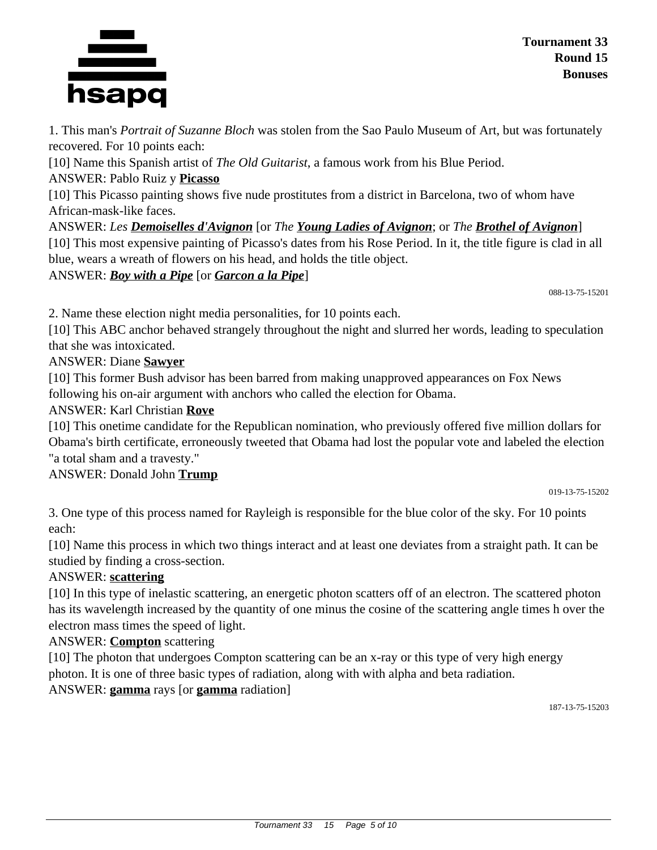

1. This man's *Portrait of Suzanne Bloch* was stolen from the Sao Paulo Museum of Art, but was fortunately recovered. For 10 points each:

[10] Name this Spanish artist of *The Old Guitarist*, a famous work from his Blue Period.

ANSWER: Pablo Ruiz y **Picasso**

[10] This Picasso painting shows five nude prostitutes from a district in Barcelona, two of whom have African-mask-like faces.

ANSWER: *Les Demoiselles d'Avignon* [or *The Young Ladies of Avignon*; or *The Brothel of Avignon*] [10] This most expensive painting of Picasso's dates from his Rose Period. In it, the title figure is clad in all blue, wears a wreath of flowers on his head, and holds the title object.

ANSWER: *Boy with a Pipe* [or *Garcon a la Pipe*]

088-13-75-15201

2. Name these election night media personalities, for 10 points each.

[10] This ABC anchor behaved strangely throughout the night and slurred her words, leading to speculation that she was intoxicated.

ANSWER: Diane **Sawyer**

[10] This former Bush advisor has been barred from making unapproved appearances on Fox News following his on-air argument with anchors who called the election for Obama.

ANSWER: Karl Christian **Rove**

[10] This onetime candidate for the Republican nomination, who previously offered five million dollars for Obama's birth certificate, erroneously tweeted that Obama had lost the popular vote and labeled the election "a total sham and a travesty."

#### ANSWER: Donald John **Trump**

019-13-75-15202

3. One type of this process named for Rayleigh is responsible for the blue color of the sky. For 10 points each:

[10] Name this process in which two things interact and at least one deviates from a straight path. It can be studied by finding a cross-section.

#### ANSWER: **scattering**

[10] In this type of inelastic scattering, an energetic photon scatters off of an electron. The scattered photon has its wavelength increased by the quantity of one minus the cosine of the scattering angle times h over the electron mass times the speed of light.

ANSWER: **Compton** scattering

[10] The photon that undergoes Compton scattering can be an x-ray or this type of very high energy photon. It is one of three basic types of radiation, along with with alpha and beta radiation. ANSWER: **gamma** rays [or **gamma** radiation]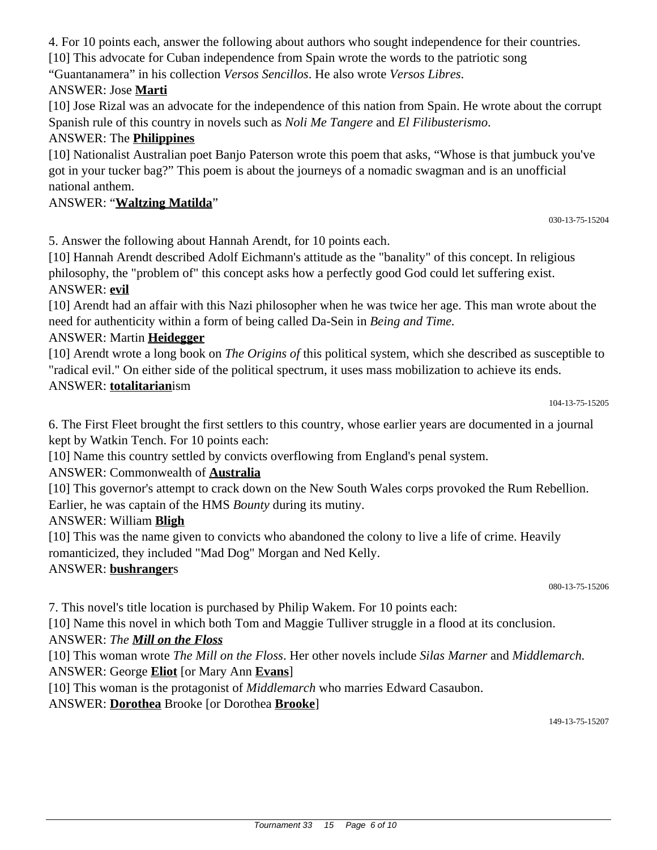4. For 10 points each, answer the following about authors who sought independence for their countries.

[10] This advocate for Cuban independence from Spain wrote the words to the patriotic song

"Guantanamera" in his collection *Versos Sencillos*. He also wrote *Versos Libres*.

### ANSWER: Jose **Marti**

[10] Jose Rizal was an advocate for the independence of this nation from Spain. He wrote about the corrupt Spanish rule of this country in novels such as *Noli Me Tangere* and *El Filibusterismo*.

### ANSWER: The **Philippines**

[10] Nationalist Australian poet Banjo Paterson wrote this poem that asks, "Whose is that jumbuck you've got in your tucker bag?" This poem is about the journeys of a nomadic swagman and is an unofficial national anthem.

#### ANSWER: "**Waltzing Matilda**"

030-13-75-15204

5. Answer the following about Hannah Arendt, for 10 points each.

[10] Hannah Arendt described Adolf Eichmann's attitude as the "banality" of this concept. In religious philosophy, the "problem of" this concept asks how a perfectly good God could let suffering exist. ANSWER: **evil**

[10] Arendt had an affair with this Nazi philosopher when he was twice her age. This man wrote about the need for authenticity within a form of being called Da-Sein in *Being and Time.*

### ANSWER: Martin **Heidegger**

[10] Arendt wrote a long book on *The Origins of* this political system, which she described as susceptible to "radical evil." On either side of the political spectrum, it uses mass mobilization to achieve its ends. ANSWER: **totalitarian**ism

104-13-75-15205

6. The First Fleet brought the first settlers to this country, whose earlier years are documented in a journal kept by Watkin Tench. For 10 points each:

[10] Name this country settled by convicts overflowing from England's penal system.

#### ANSWER: Commonwealth of **Australia**

[10] This governor's attempt to crack down on the New South Wales corps provoked the Rum Rebellion. Earlier, he was captain of the HMS *Bounty* during its mutiny.

#### ANSWER: William **Bligh**

[10] This was the name given to convicts who abandoned the colony to live a life of crime. Heavily romanticized, they included "Mad Dog" Morgan and Ned Kelly.

#### ANSWER: **bushranger**s

080-13-75-15206

7. This novel's title location is purchased by Philip Wakem. For 10 points each:

[10] Name this novel in which both Tom and Maggie Tulliver struggle in a flood at its conclusion.

#### ANSWER: *The Mill on the Floss*

[10] This woman wrote *The Mill on the Floss*. Her other novels include *Silas Marner* and *Middlemarch.*

ANSWER: George **Eliot** [or Mary Ann **Evans**]

[10] This woman is the protagonist of *Middlemarch* who marries Edward Casaubon.

ANSWER: **Dorothea** Brooke [or Dorothea **Brooke**]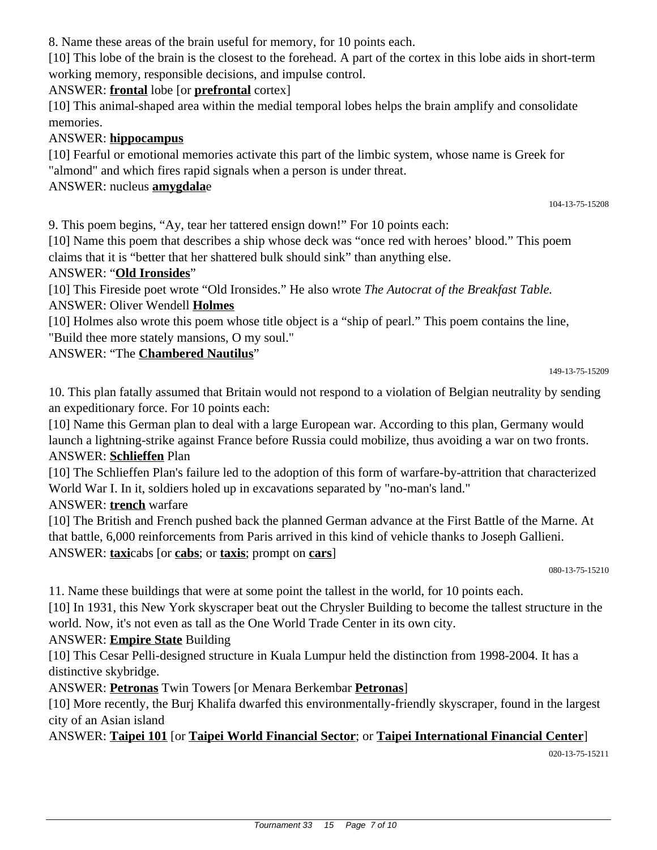8. Name these areas of the brain useful for memory, for 10 points each.

[10] This lobe of the brain is the closest to the forehead. A part of the cortex in this lobe aids in short-term working memory, responsible decisions, and impulse control.

### ANSWER: **frontal** lobe [or **prefrontal** cortex]

[10] This animal-shaped area within the medial temporal lobes helps the brain amplify and consolidate memories.

## ANSWER: **hippocampus**

[10] Fearful or emotional memories activate this part of the limbic system, whose name is Greek for "almond" and which fires rapid signals when a person is under threat.

### ANSWER: nucleus **amygdala**e

9. This poem begins, "Ay, tear her tattered ensign down!" For 10 points each:

[10] Name this poem that describes a ship whose deck was "once red with heroes' blood." This poem claims that it is "better that her shattered bulk should sink" than anything else.

### ANSWER: "**Old Ironsides**"

[10] This Fireside poet wrote "Old Ironsides." He also wrote *The Autocrat of the Breakfast Table.* ANSWER: Oliver Wendell **Holmes**

[10] Holmes also wrote this poem whose title object is a "ship of pearl." This poem contains the line, "Build thee more stately mansions, O my soul."

### ANSWER: "The **Chambered Nautilus**"

149-13-75-15209

104-13-75-15208

10. This plan fatally assumed that Britain would not respond to a violation of Belgian neutrality by sending an expeditionary force. For 10 points each:

[10] Name this German plan to deal with a large European war. According to this plan, Germany would launch a lightning-strike against France before Russia could mobilize, thus avoiding a war on two fronts. ANSWER: **Schlieffen** Plan

[10] The Schlieffen Plan's failure led to the adoption of this form of warfare-by-attrition that characterized World War I. In it, soldiers holed up in excavations separated by "no-man's land."

ANSWER: **trench** warfare

[10] The British and French pushed back the planned German advance at the First Battle of the Marne. At that battle, 6,000 reinforcements from Paris arrived in this kind of vehicle thanks to Joseph Gallieni. ANSWER: **taxi**cabs [or **cabs**; or **taxis**; prompt on **cars**]

080-13-75-15210

11. Name these buildings that were at some point the tallest in the world, for 10 points each.

[10] In 1931, this New York skyscraper beat out the Chrysler Building to become the tallest structure in the world. Now, it's not even as tall as the One World Trade Center in its own city.

#### ANSWER: **Empire State** Building

[10] This Cesar Pelli-designed structure in Kuala Lumpur held the distinction from 1998-2004. It has a distinctive skybridge.

ANSWER: **Petronas** Twin Towers [or Menara Berkembar **Petronas**]

[10] More recently, the Burj Khalifa dwarfed this environmentally-friendly skyscraper, found in the largest city of an Asian island

# ANSWER: **Taipei 101** [or **Taipei World Financial Sector**; or **Taipei International Financial Center**]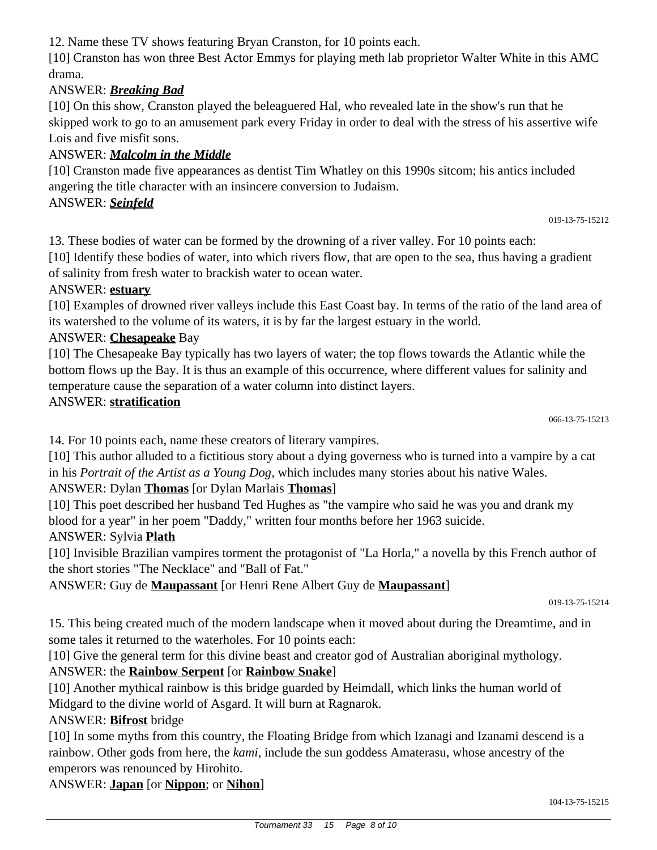12. Name these TV shows featuring Bryan Cranston, for 10 points each.

[10] Cranston has won three Best Actor Emmys for playing meth lab proprietor Walter White in this AMC drama.

## ANSWER: *Breaking Bad*

[10] On this show, Cranston played the beleaguered Hal, who revealed late in the show's run that he skipped work to go to an amusement park every Friday in order to deal with the stress of his assertive wife Lois and five misfit sons.

### ANSWER: *Malcolm in the Middle*

[10] Cranston made five appearances as dentist Tim Whatley on this 1990s sitcom; his antics included angering the title character with an insincere conversion to Judaism.

ANSWER: *Seinfeld*

13. These bodies of water can be formed by the drowning of a river valley. For 10 points each:

[10] Identify these bodies of water, into which rivers flow, that are open to the sea, thus having a gradient of salinity from fresh water to brackish water to ocean water.

#### ANSWER: **estuary**

[10] Examples of drowned river valleys include this East Coast bay. In terms of the ratio of the land area of its watershed to the volume of its waters, it is by far the largest estuary in the world.

#### ANSWER: **Chesapeake** Bay

[10] The Chesapeake Bay typically has two layers of water; the top flows towards the Atlantic while the bottom flows up the Bay. It is thus an example of this occurrence, where different values for salinity and temperature cause the separation of a water column into distinct layers.

#### ANSWER: **stratification**

14. For 10 points each, name these creators of literary vampires.

[10] This author alluded to a fictitious story about a dying governess who is turned into a vampire by a cat in his *Portrait of the Artist as a Young Dog,* which includes many stories about his native Wales.

#### ANSWER: Dylan **Thomas** [or Dylan Marlais **Thomas**]

[10] This poet described her husband Ted Hughes as "the vampire who said he was you and drank my blood for a year" in her poem "Daddy," written four months before her 1963 suicide.

#### ANSWER: Sylvia **Plath**

[10] Invisible Brazilian vampires torment the protagonist of "La Horla," a novella by this French author of the short stories "The Necklace" and "Ball of Fat."

ANSWER: Guy de **Maupassant** [or Henri Rene Albert Guy de **Maupassant**]

15. This being created much of the modern landscape when it moved about during the Dreamtime, and in some tales it returned to the waterholes. For 10 points each:

[10] Give the general term for this divine beast and creator god of Australian aboriginal mythology.

# ANSWER: the **Rainbow Serpent** [or **Rainbow Snake**]

[10] Another mythical rainbow is this bridge guarded by Heimdall, which links the human world of Midgard to the divine world of Asgard. It will burn at Ragnarok.

#### ANSWER: **Bifrost** bridge

[10] In some myths from this country, the Floating Bridge from which Izanagi and Izanami descend is a rainbow. Other gods from here, the *kami*, include the sun goddess Amaterasu, whose ancestry of the emperors was renounced by Hirohito.

ANSWER: **Japan** [or **Nippon**; or **Nihon**]

<sup>019-13-75-15214</sup>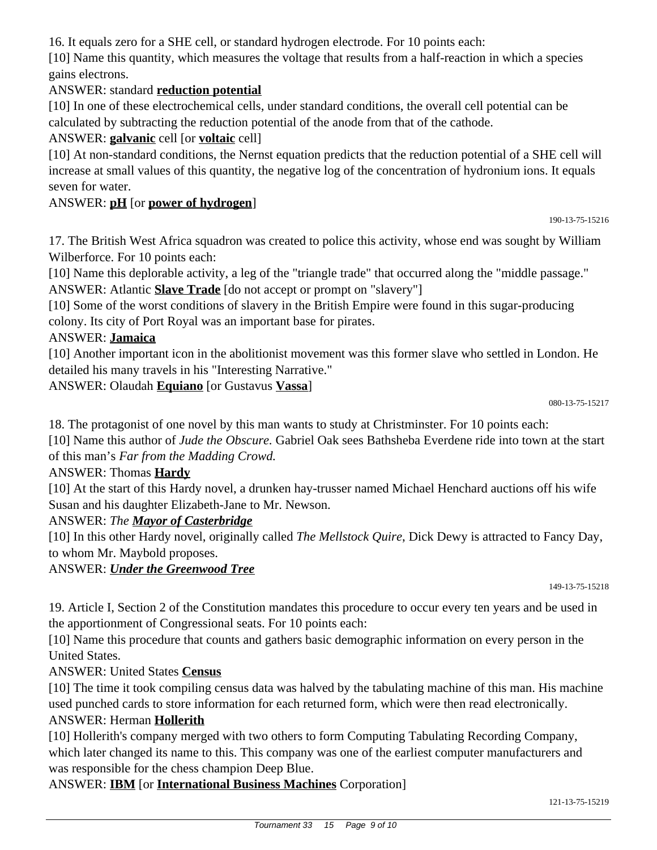16. It equals zero for a SHE cell, or standard hydrogen electrode. For 10 points each:

[10] Name this quantity, which measures the voltage that results from a half-reaction in which a species gains electrons.

## ANSWER: standard **reduction potential**

[10] In one of these electrochemical cells, under standard conditions, the overall cell potential can be calculated by subtracting the reduction potential of the anode from that of the cathode.

### ANSWER: **galvanic** cell [or **voltaic** cell]

[10] At non-standard conditions, the Nernst equation predicts that the reduction potential of a SHE cell will increase at small values of this quantity, the negative log of the concentration of hydronium ions. It equals seven for water.

#### ANSWER: **pH** [or **power of hydrogen**]

190-13-75-15216

17. The British West Africa squadron was created to police this activity, whose end was sought by William Wilberforce. For 10 points each:

[10] Name this deplorable activity, a leg of the "triangle trade" that occurred along the "middle passage." ANSWER: Atlantic **Slave Trade** [do not accept or prompt on "slavery"]

[10] Some of the worst conditions of slavery in the British Empire were found in this sugar-producing colony. Its city of Port Royal was an important base for pirates.

#### ANSWER: **Jamaica**

[10] Another important icon in the abolitionist movement was this former slave who settled in London. He detailed his many travels in his "Interesting Narrative."

ANSWER: Olaudah **Equiano** [or Gustavus **Vassa**]

18. The protagonist of one novel by this man wants to study at Christminster. For 10 points each:

[10] Name this author of *Jude the Obscure.* Gabriel Oak sees Bathsheba Everdene ride into town at the start of this man's *Far from the Madding Crowd.*

#### ANSWER: Thomas **Hardy**

[10] At the start of this Hardy novel, a drunken hay-trusser named Michael Henchard auctions off his wife Susan and his daughter Elizabeth-Jane to Mr. Newson.

#### ANSWER: *The Mayor of Casterbridge*

[10] In this other Hardy novel, originally called *The Mellstock Quire*, Dick Dewy is attracted to Fancy Day, to whom Mr. Maybold proposes.

#### ANSWER: *Under the Greenwood Tree*

149-13-75-15218

19. Article I, Section 2 of the Constitution mandates this procedure to occur every ten years and be used in the apportionment of Congressional seats. For 10 points each:

[10] Name this procedure that counts and gathers basic demographic information on every person in the United States.

#### ANSWER: United States **Census**

[10] The time it took compiling census data was halved by the tabulating machine of this man. His machine used punched cards to store information for each returned form, which were then read electronically.

#### ANSWER: Herman **Hollerith**

[10] Hollerith's company merged with two others to form Computing Tabulating Recording Company, which later changed its name to this. This company was one of the earliest computer manufacturers and was responsible for the chess champion Deep Blue.

# ANSWER: **IBM** [or **International Business Machines** Corporation]